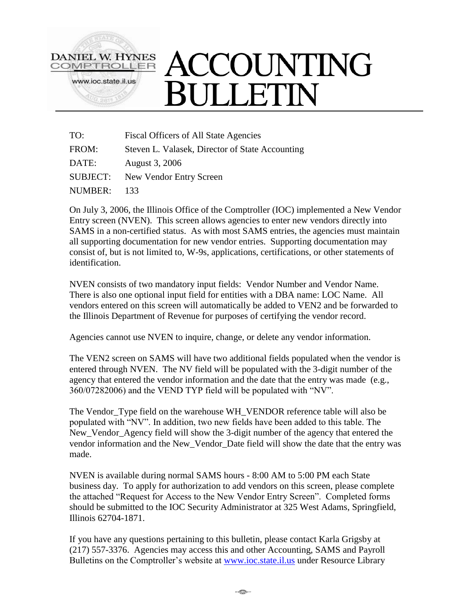

| TO:            | <b>Fiscal Officers of All State Agencies</b>    |
|----------------|-------------------------------------------------|
| FROM:          | Steven L. Valasek, Director of State Accounting |
| DATE:          | August 3, 2006                                  |
|                | <b>SUBJECT:</b> New Vendor Entry Screen         |
| <b>NUMBER:</b> | 133                                             |

On July 3, 2006, the Illinois Office of the Comptroller (IOC) implemented a New Vendor Entry screen (NVEN). This screen allows agencies to enter new vendors directly into SAMS in a non-certified status. As with most SAMS entries, the agencies must maintain all supporting documentation for new vendor entries. Supporting documentation may consist of, but is not limited to, W-9s, applications, certifications, or other statements of identification.

NVEN consists of two mandatory input fields: Vendor Number and Vendor Name. There is also one optional input field for entities with a DBA name: LOC Name. All vendors entered on this screen will automatically be added to VEN2 and be forwarded to the Illinois Department of Revenue for purposes of certifying the vendor record.

Agencies cannot use NVEN to inquire, change, or delete any vendor information.

The VEN2 screen on SAMS will have two additional fields populated when the vendor is entered through NVEN. The NV field will be populated with the 3-digit number of the agency that entered the vendor information and the date that the entry was made (e.g., 360/07282006) and the VEND TYP field will be populated with "NV".

The Vendor Type field on the warehouse WH\_VENDOR reference table will also be populated with "NV". In addition, two new fields have been added to this table. The New\_Vendor\_Agency field will show the 3-digit number of the agency that entered the vendor information and the New\_Vendor\_Date field will show the date that the entry was made.

NVEN is available during normal SAMS hours - 8:00 AM to 5:00 PM each State business day. To apply for authorization to add vendors on this screen, please complete the attached "Request for Access to the New Vendor Entry Screen". Completed forms should be submitted to the IOC Security Administrator at 325 West Adams, Springfield, Illinois 62704-1871.

If you have any questions pertaining to this bulletin, please contact Karla Grigsby at (217) 557-3376. Agencies may access this and other Accounting, SAMS and Payroll Bulletins on the Comptroller's website at [www.ioc.state.il.us](http://www.ioc.state.il.us/) under Resource Library